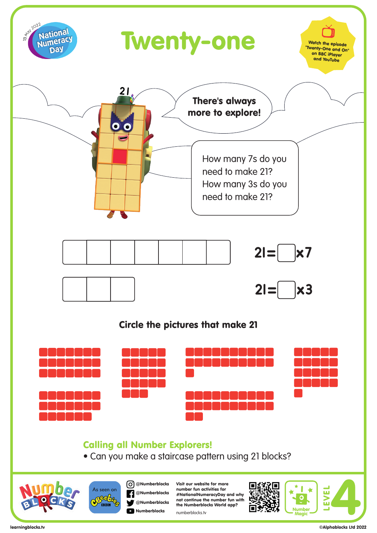

learningblocks.tv